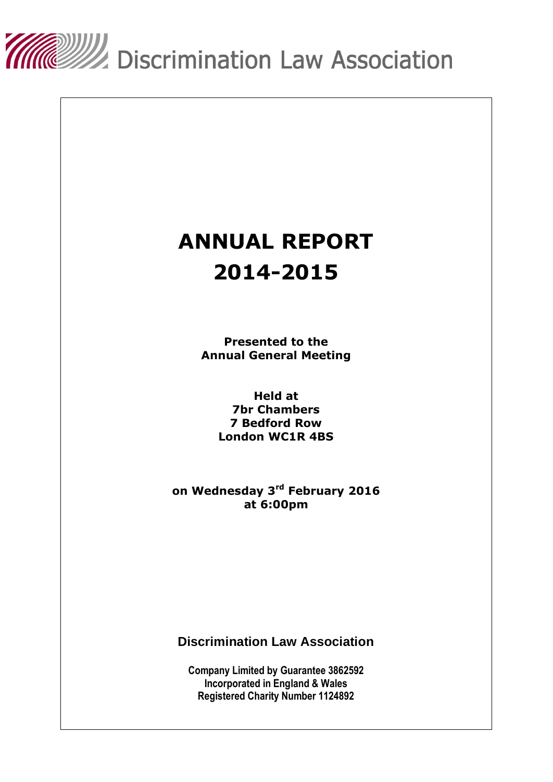

# **ANNUAL REPORT 2014-2015**

**Presented to the Annual General Meeting**

> **Held at 7br Chambers 7 Bedford Row London WC1R 4BS**

**on Wednesday 3 rd February 2016 at 6:00pm**

**Discrimination Law Association**

**Company Limited by Guarantee 3862592 Incorporated in England & Wales Registered Charity Number 1124892**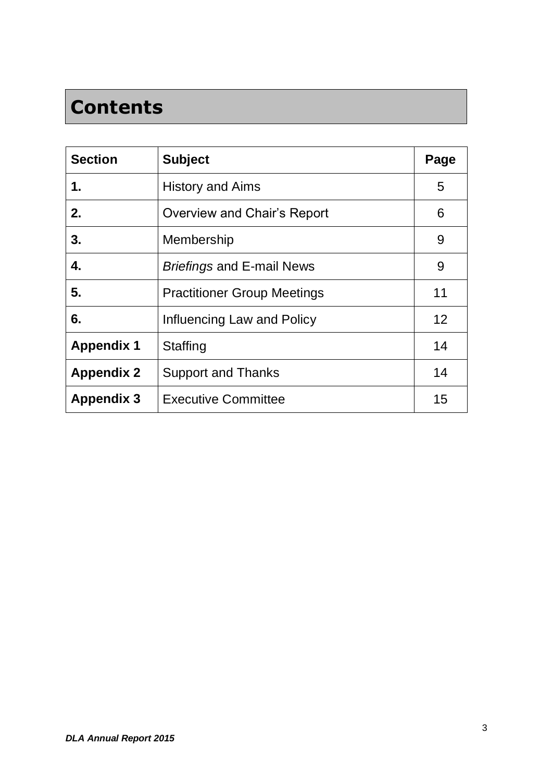## **Contents**

| <b>Section</b>    | <b>Subject</b>                     | Page |
|-------------------|------------------------------------|------|
| 1.                | <b>History and Aims</b>            | 5    |
| 2.                | <b>Overview and Chair's Report</b> | 6    |
| 3.                | Membership                         | 9    |
| 4.                | <b>Briefings and E-mail News</b>   | 9    |
| 5.                | <b>Practitioner Group Meetings</b> | 11   |
| 6.                | Influencing Law and Policy         | 12   |
| <b>Appendix 1</b> | Staffing                           | 14   |
| <b>Appendix 2</b> | <b>Support and Thanks</b>          | 14   |
| <b>Appendix 3</b> | <b>Executive Committee</b>         | 15   |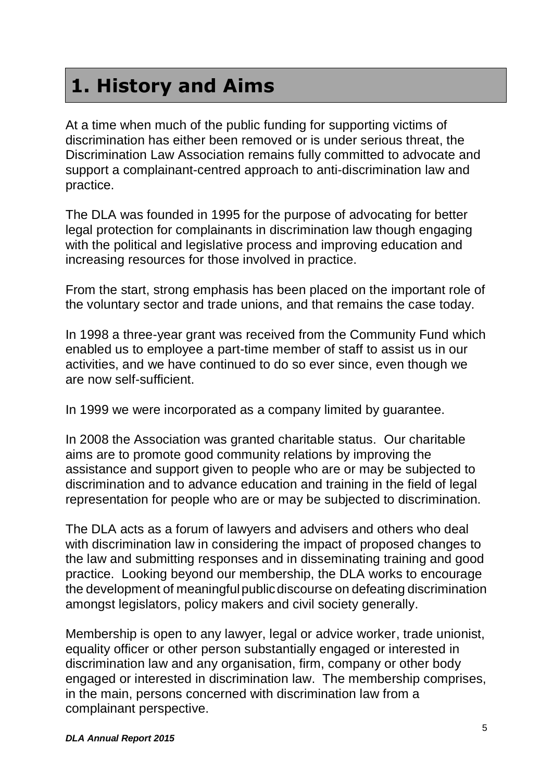### **1. History and Aims**

At a time when much of the public funding for supporting victims of discrimination has either been removed or is under serious threat, the Discrimination Law Association remains fully committed to advocate and support a complainant-centred approach to anti-discrimination law and practice.

The DLA was founded in 1995 for the purpose of advocating for better legal protection for complainants in discrimination law though engaging with the political and legislative process and improving education and increasing resources for those involved in practice.

From the start, strong emphasis has been placed on the important role of the voluntary sector and trade unions, and that remains the case today.

In 1998 a three-year grant was received from the Community Fund which enabled us to employee a part-time member of staff to assist us in our activities, and we have continued to do so ever since, even though we are now self-sufficient.

In 1999 we were incorporated as a company limited by guarantee.

In 2008 the Association was granted charitable status. Our charitable aims are to promote good community relations by improving the assistance and support given to people who are or may be subjected to discrimination and to advance education and training in the field of legal representation for people who are or may be subjected to discrimination.

The DLA acts as a forum of lawyers and advisers and others who deal with discrimination law in considering the impact of proposed changes to the law and submitting responses and in disseminating training and good practice. Looking beyond our membership, the DLA works to encourage the development of meaningful public discourse on defeating discrimination amongst legislators, policy makers and civil society generally.

Membership is open to any lawyer, legal or advice worker, trade unionist, equality officer or other person substantially engaged or interested in discrimination law and any organisation, firm, company or other body engaged or interested in discrimination law. The membership comprises, in the main, persons concerned with discrimination law from a complainant perspective.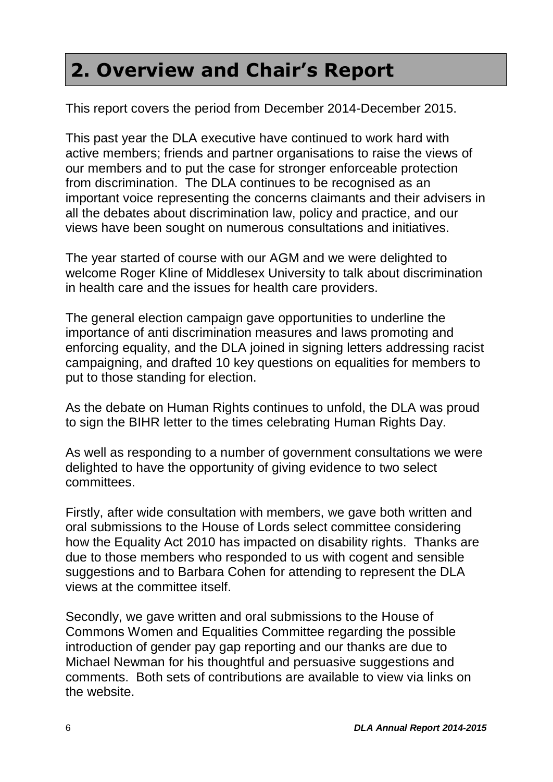### **2. Overview and Chair's Report**

This report covers the period from December 2014-December 2015.

This past year the DLA executive have continued to work hard with active members; friends and partner organisations to raise the views of our members and to put the case for stronger enforceable protection from discrimination. The DLA continues to be recognised as an important voice representing the concerns claimants and their advisers in all the debates about discrimination law, policy and practice, and our views have been sought on numerous consultations and initiatives.

The year started of course with our AGM and we were delighted to welcome Roger Kline of Middlesex University to talk about discrimination in health care and the issues for health care providers.

The general election campaign gave opportunities to underline the importance of anti discrimination measures and laws promoting and enforcing equality, and the DLA joined in signing letters addressing racist campaigning, and drafted 10 key questions on equalities for members to put to those standing for election.

As the debate on Human Rights continues to unfold, the DLA was proud to sign the BIHR letter to the times celebrating Human Rights Day.

As well as responding to a number of government consultations we were delighted to have the opportunity of giving evidence to two select committees.

Firstly, after wide consultation with members, we gave both written and oral submissions to the House of Lords select committee considering how the Equality Act 2010 has impacted on disability rights. Thanks are due to those members who responded to us with cogent and sensible suggestions and to Barbara Cohen for attending to represent the DLA views at the committee itself.

Secondly, we gave written and oral submissions to the House of Commons Women and Equalities Committee regarding the possible introduction of gender pay gap reporting and our thanks are due to Michael Newman for his thoughtful and persuasive suggestions and comments. Both sets of contributions are available to view via links on the website.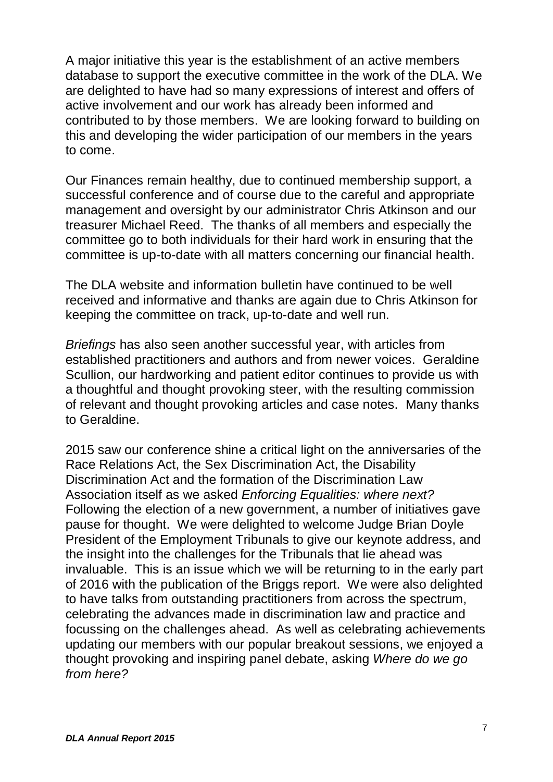A major initiative this year is the establishment of an active members database to support the executive committee in the work of the DLA. We are delighted to have had so many expressions of interest and offers of active involvement and our work has already been informed and contributed to by those members. We are looking forward to building on this and developing the wider participation of our members in the years to come.

Our Finances remain healthy, due to continued membership support, a successful conference and of course due to the careful and appropriate management and oversight by our administrator Chris Atkinson and our treasurer Michael Reed. The thanks of all members and especially the committee go to both individuals for their hard work in ensuring that the committee is up-to-date with all matters concerning our financial health.

The DLA website and information bulletin have continued to be well received and informative and thanks are again due to Chris Atkinson for keeping the committee on track, up-to-date and well run.

*Briefings* has also seen another successful year, with articles from established practitioners and authors and from newer voices. Geraldine Scullion, our hardworking and patient editor continues to provide us with a thoughtful and thought provoking steer, with the resulting commission of relevant and thought provoking articles and case notes. Many thanks to Geraldine.

2015 saw our conference shine a critical light on the anniversaries of the Race Relations Act, the Sex Discrimination Act, the Disability Discrimination Act and the formation of the Discrimination Law Association itself as we asked *Enforcing Equalities: where next?* Following the election of a new government, a number of initiatives gave pause for thought. We were delighted to welcome Judge Brian Doyle President of the Employment Tribunals to give our keynote address, and the insight into the challenges for the Tribunals that lie ahead was invaluable. This is an issue which we will be returning to in the early part of 2016 with the publication of the Briggs report. We were also delighted to have talks from outstanding practitioners from across the spectrum, celebrating the advances made in discrimination law and practice and focussing on the challenges ahead. As well as celebrating achievements updating our members with our popular breakout sessions, we enjoyed a thought provoking and inspiring panel debate, asking *Where do we go from here?*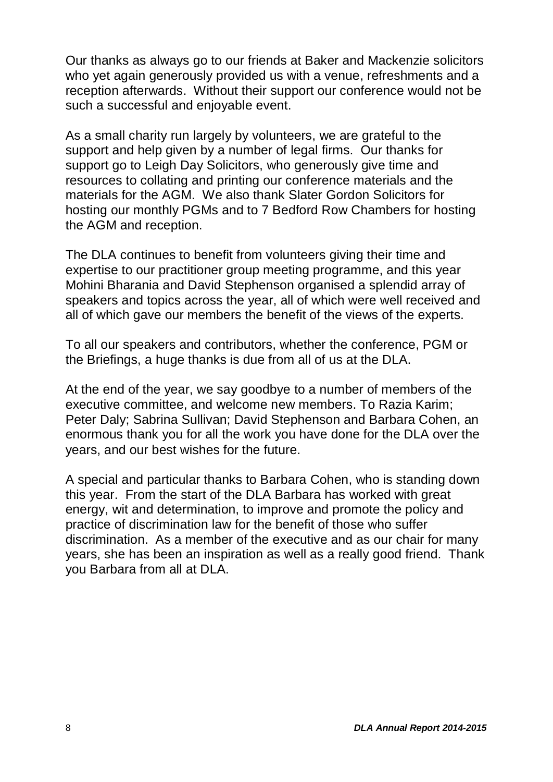Our thanks as always go to our friends at Baker and Mackenzie solicitors who yet again generously provided us with a venue, refreshments and a reception afterwards. Without their support our conference would not be such a successful and enjoyable event.

As a small charity run largely by volunteers, we are grateful to the support and help given by a number of legal firms. Our thanks for support go to Leigh Day Solicitors, who generously give time and resources to collating and printing our conference materials and the materials for the AGM. We also thank Slater Gordon Solicitors for hosting our monthly PGMs and to 7 Bedford Row Chambers for hosting the AGM and reception.

The DLA continues to benefit from volunteers giving their time and expertise to our practitioner group meeting programme, and this year Mohini Bharania and David Stephenson organised a splendid array of speakers and topics across the year, all of which were well received and all of which gave our members the benefit of the views of the experts.

To all our speakers and contributors, whether the conference, PGM or the Briefings, a huge thanks is due from all of us at the DLA.

At the end of the year, we say goodbye to a number of members of the executive committee, and welcome new members. To Razia Karim; Peter Daly; Sabrina Sullivan; David Stephenson and Barbara Cohen, an enormous thank you for all the work you have done for the DLA over the years, and our best wishes for the future.

A special and particular thanks to Barbara Cohen, who is standing down this year. From the start of the DLA Barbara has worked with great energy, wit and determination, to improve and promote the policy and practice of discrimination law for the benefit of those who suffer discrimination. As a member of the executive and as our chair for many years, she has been an inspiration as well as a really good friend. Thank you Barbara from all at DLA.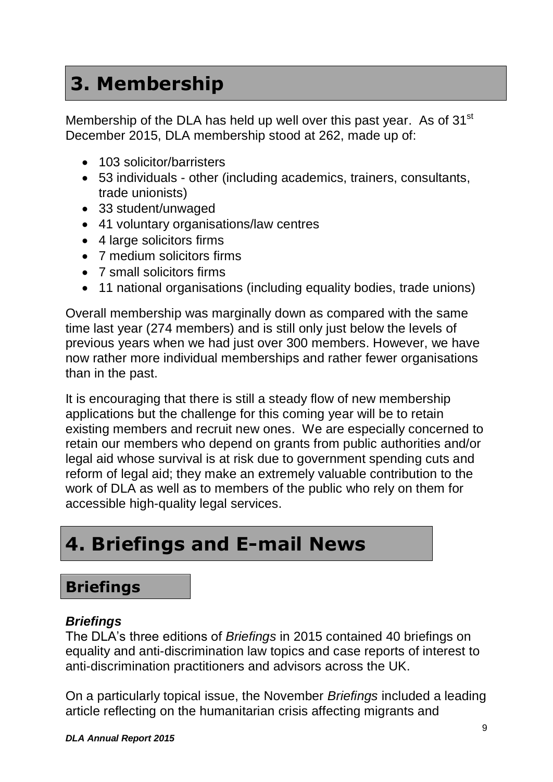### **3. Membership**

Membership of the DLA has held up well over this past year. As of 31<sup>st</sup> December 2015, DLA membership stood at 262, made up of:

- 103 solicitor/barristers
- 53 individuals other (including academics, trainers, consultants, trade unionists)
- 33 student/unwaged
- 41 voluntary organisations/law centres
- 4 large solicitors firms
- 7 medium solicitors firms
- 7 small solicitors firms
- 11 national organisations (including equality bodies, trade unions)

Overall membership was marginally down as compared with the same time last year (274 members) and is still only just below the levels of previous years when we had just over 300 members. However, we have now rather more individual memberships and rather fewer organisations than in the past.

It is encouraging that there is still a steady flow of new membership applications but the challenge for this coming year will be to retain existing members and recruit new ones. We are especially concerned to retain our members who depend on grants from public authorities and/or legal aid whose survival is at risk due to government spending cuts and reform of legal aid; they make an extremely valuable contribution to the work of DLA as well as to members of the public who rely on them for accessible high-quality legal services.

### **4. Briefings and E-mail News**

### **Briefings**

#### *Briefings*

The DLA's three editions of *Briefings* in 2015 contained 40 briefings on equality and anti-discrimination law topics and case reports of interest to anti-discrimination practitioners and advisors across the UK.

On a particularly topical issue, the November *Briefings* included a leading article reflecting on the humanitarian crisis affecting migrants and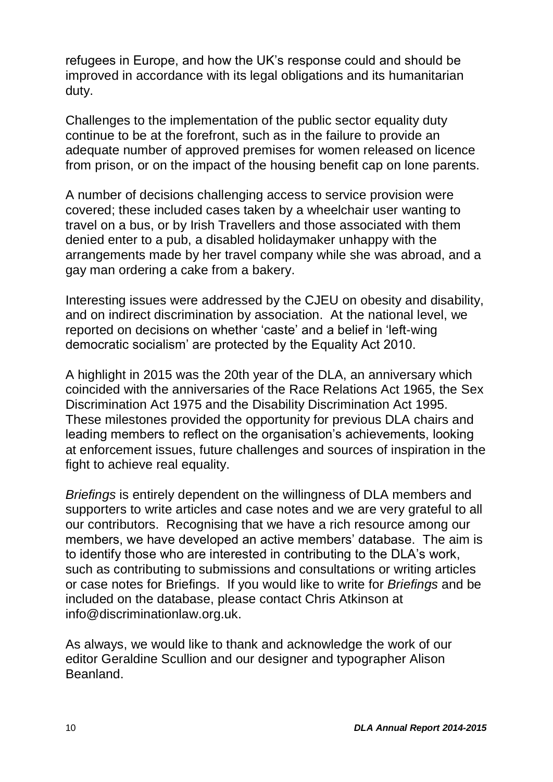refugees in Europe, and how the UK's response could and should be improved in accordance with its legal obligations and its humanitarian duty.

Challenges to the implementation of the public sector equality duty continue to be at the forefront, such as in the failure to provide an adequate number of approved premises for women released on licence from prison, or on the impact of the housing benefit cap on lone parents.

A number of decisions challenging access to service provision were covered; these included cases taken by a wheelchair user wanting to travel on a bus, or by Irish Travellers and those associated with them denied enter to a pub, a disabled holidaymaker unhappy with the arrangements made by her travel company while she was abroad, and a gay man ordering a cake from a bakery.

Interesting issues were addressed by the CJEU on obesity and disability, and on indirect discrimination by association. At the national level, we reported on decisions on whether 'caste' and a belief in 'left-wing democratic socialism' are protected by the Equality Act 2010.

A highlight in 2015 was the 20th year of the DLA, an anniversary which coincided with the anniversaries of the Race Relations Act 1965, the Sex Discrimination Act 1975 and the Disability Discrimination Act 1995. These milestones provided the opportunity for previous DLA chairs and leading members to reflect on the organisation's achievements, looking at enforcement issues, future challenges and sources of inspiration in the fight to achieve real equality.

*Briefings* is entirely dependent on the willingness of DLA members and supporters to write articles and case notes and we are very grateful to all our contributors. Recognising that we have a rich resource among our members, we have developed an active members' database. The aim is to identify those who are interested in contributing to the DLA's work, such as contributing to submissions and consultations or writing articles or case notes for Briefings. If you would like to write for *Briefings* and be included on the database, please contact Chris Atkinson at info@discriminationlaw.org.uk.

As always, we would like to thank and acknowledge the work of our editor Geraldine Scullion and our designer and typographer Alison Beanland.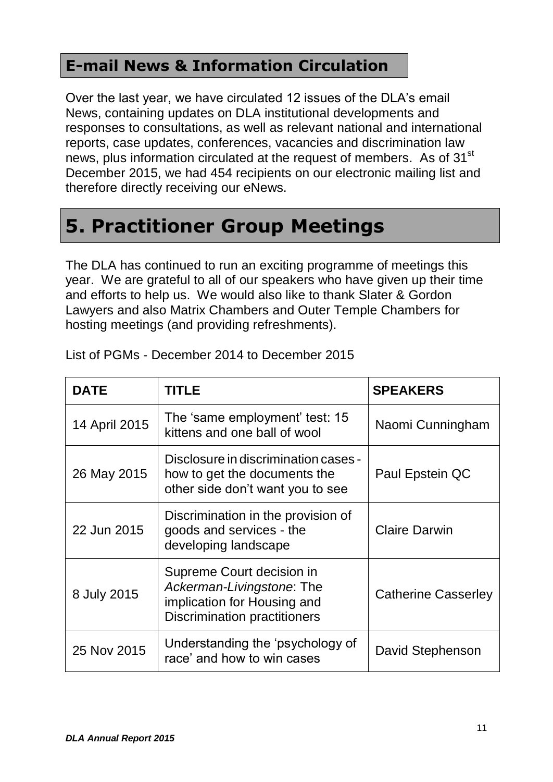#### **E-mail News & Information Circulation**

Over the last year, we have circulated 12 issues of the DLA's email News, containing updates on DLA institutional developments and responses to consultations, as well as relevant national and international reports, case updates, conferences, vacancies and discrimination law news, plus information circulated at the request of members. As of 31<sup>st</sup> December 2015, we had 454 recipients on our electronic mailing list and therefore directly receiving our eNews.

### **5. Practitioner Group Meetings**

The DLA has continued to run an exciting programme of meetings this year. We are grateful to all of our speakers who have given up their time and efforts to help us. We would also like to thank Slater & Gordon Lawyers and also Matrix Chambers and Outer Temple Chambers for hosting meetings (and providing refreshments).

| <b>DATE</b>   | <b>TITLE</b>                                                                                                                 | <b>SPEAKERS</b>            |
|---------------|------------------------------------------------------------------------------------------------------------------------------|----------------------------|
| 14 April 2015 | The 'same employment' test: 15<br>kittens and one ball of wool                                                               | Naomi Cunningham           |
| 26 May 2015   | Disclosure in discrimination cases -<br>how to get the documents the<br>other side don't want you to see                     | Paul Epstein QC            |
| 22 Jun 2015   | Discrimination in the provision of<br>goods and services - the<br>developing landscape                                       | <b>Claire Darwin</b>       |
| 8 July 2015   | Supreme Court decision in<br>Ackerman-Livingstone: The<br>implication for Housing and<br><b>Discrimination practitioners</b> | <b>Catherine Casserley</b> |
| 25 Nov 2015   | Understanding the 'psychology of<br>race' and how to win cases                                                               | David Stephenson           |

List of PGMs - December 2014 to December 2015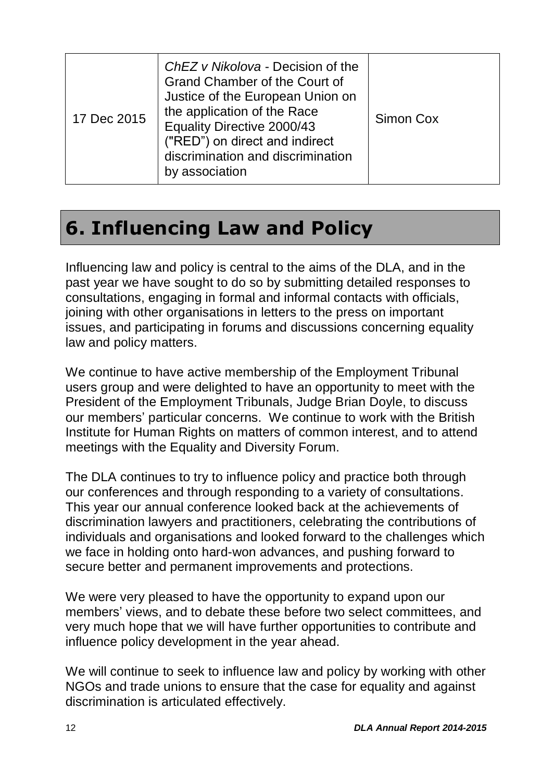| 17 Dec 2015 | ChEZ v Nikolova - Decision of the<br>Grand Chamber of the Court of<br>Justice of the European Union on<br>the application of the Race<br>Equality Directive 2000/43<br>("RED") on direct and indirect<br>discrimination and discrimination<br>by association | Simon Cox |
|-------------|--------------------------------------------------------------------------------------------------------------------------------------------------------------------------------------------------------------------------------------------------------------|-----------|
|-------------|--------------------------------------------------------------------------------------------------------------------------------------------------------------------------------------------------------------------------------------------------------------|-----------|

### **6. Influencing Law and Policy**

Influencing law and policy is central to the aims of the DLA, and in the past year we have sought to do so by submitting detailed responses to consultations, engaging in formal and informal contacts with officials, joining with other organisations in letters to the press on important issues, and participating in forums and discussions concerning equality law and policy matters.

We continue to have active membership of the Employment Tribunal users group and were delighted to have an opportunity to meet with the President of the Employment Tribunals, Judge Brian Doyle, to discuss our members' particular concerns. We continue to work with the British Institute for Human Rights on matters of common interest, and to attend meetings with the Equality and Diversity Forum.

The DLA continues to try to influence policy and practice both through our conferences and through responding to a variety of consultations. This year our annual conference looked back at the achievements of discrimination lawyers and practitioners, celebrating the contributions of individuals and organisations and looked forward to the challenges which we face in holding onto hard-won advances, and pushing forward to secure better and permanent improvements and protections.

We were very pleased to have the opportunity to expand upon our members' views, and to debate these before two select committees, and very much hope that we will have further opportunities to contribute and influence policy development in the year ahead.

We will continue to seek to influence law and policy by working with other NGOs and trade unions to ensure that the case for equality and against discrimination is articulated effectively.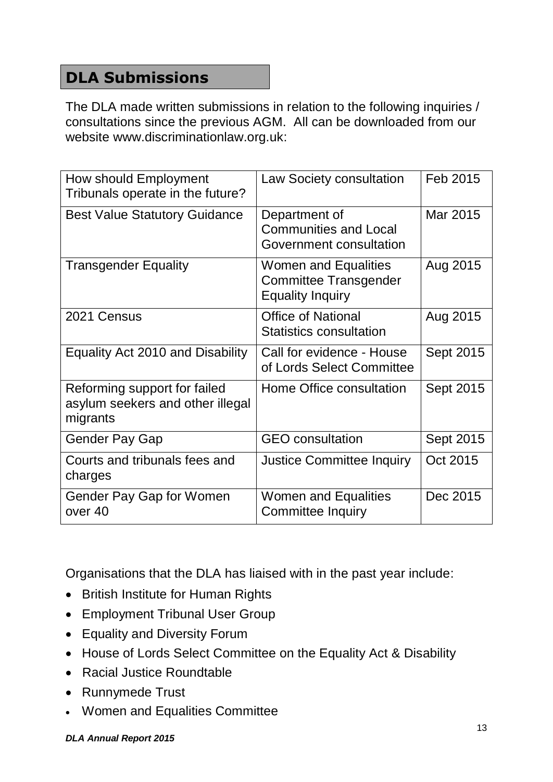#### **DLA Submissions**

The DLA made written submissions in relation to the following inquiries / consultations since the previous AGM. All can be downloaded from our website www.discriminationlaw.org.uk:

| How should Employment<br>Tribunals operate in the future?                    | Law Society consultation                                                               | Feb 2015  |
|------------------------------------------------------------------------------|----------------------------------------------------------------------------------------|-----------|
| <b>Best Value Statutory Guidance</b>                                         | Department of<br><b>Communities and Local</b><br>Government consultation               | Mar 2015  |
| <b>Transgender Equality</b>                                                  | <b>Women and Equalities</b><br><b>Committee Transgender</b><br><b>Equality Inquiry</b> | Aug 2015  |
| 2021 Census                                                                  | <b>Office of National</b><br><b>Statistics consultation</b>                            | Aug 2015  |
| Equality Act 2010 and Disability                                             | Call for evidence - House<br>of Lords Select Committee                                 | Sept 2015 |
| Reforming support for failed<br>asylum seekers and other illegal<br>migrants | Home Office consultation                                                               | Sept 2015 |
| <b>Gender Pay Gap</b>                                                        | <b>GEO</b> consultation                                                                | Sept 2015 |
| Courts and tribunals fees and<br>charges                                     | <b>Justice Committee Inquiry</b>                                                       | Oct 2015  |
| Gender Pay Gap for Women<br>over 40                                          | <b>Women and Equalities</b><br><b>Committee Inquiry</b>                                | Dec 2015  |

Organisations that the DLA has liaised with in the past year include:

- British Institute for Human Rights
- Employment Tribunal User Group
- Equality and Diversity Forum
- House of Lords Select Committee on the Equality Act & Disability
- Racial Justice Roundtable
- Runnymede Trust
- Women and Equalities Committee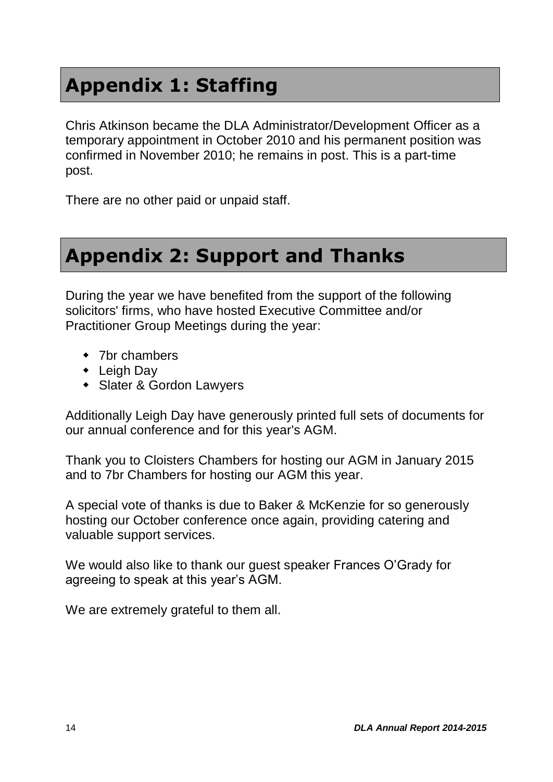### **Appendix 1: Staffing**

Chris Atkinson became the DLA Administrator/Development Officer as a temporary appointment in October 2010 and his permanent position was confirmed in November 2010; he remains in post. This is a part-time post.

There are no other paid or unpaid staff.

### **Appendix 2: Support and Thanks**

During the year we have benefited from the support of the following solicitors' firms, who have hosted Executive Committee and/or Practitioner Group Meetings during the year:

- ◆ 7br chambers
- Leigh Day
- Slater & Gordon Lawyers

Additionally Leigh Day have generously printed full sets of documents for our annual conference and for this year's AGM.

Thank you to Cloisters Chambers for hosting our AGM in January 2015 and to 7br Chambers for hosting our AGM this year.

A special vote of thanks is due to Baker & McKenzie for so generously hosting our October conference once again, providing catering and valuable support services.

We would also like to thank our guest speaker Frances O'Grady for agreeing to speak at this year's AGM.

We are extremely grateful to them all.